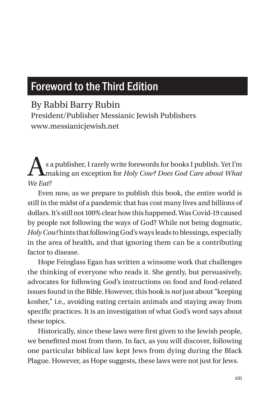## Foreword to the Third Edition

## By Rabbi Barry Rubin

President/Publisher Messianic Jewish Publishers www.messianicjewish.net

As a publisher, I rarely write forewords for books I publish. Yet I'm making an exception for *Holy Cow? Does God Care about What We Eat?*

Even now, as we prepare to publish this book, the entire world is still in the midst of a pandemic that has cost many lives and billions of dollars. It's still not 100% clear how this happened. Was Covid-19 caused by people not following the ways of God? While not being dogmatic, *Holy Cow!* hints that following God's ways leads to blessings, especially in the area of health, and that ignoring them can be a contributing factor to disease.

Hope Feinglass Egan has written a winsome work that challenges the thinking of everyone who reads it. She gently, but persuasively, advocates for following God's instructions on food and food-related issues found in the Bible. However, this book is *not* just about "keeping kosher," i.e., avoiding eating certain animals and staying away from specific practices. It is an investigation of what God's word says about these topics.

Historically, since these laws were first given to the Jewish people, we benefitted most from them. In fact, as you will discover, following one particular biblical law kept Jews from dying during the Black Plague. However, as Hope suggests, these laws were not just for Jews.